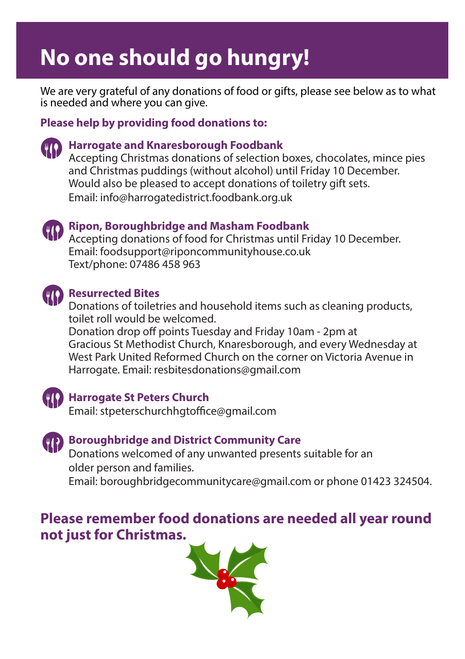# **No one should go hungry!**

We are very grateful of any donations of food or gifts, please see below as to what is needed and where you can give.

# **Please help by providing food donations to:**



# **(10)** Harrogate and Knaresborough Foodbank

Accepting Christmas donations of selection boxes, chocolates, mince pies and Christmas puddings (without alcohol) until Friday 10 December. Would also be pleased to accept donations of toiletry gift sets. Email: info@harrogatedistrict.foodbank.org.uk



## **(B)** Ripon, Boroughbridge and Masham Foodbank

Accepting donations of food for Christmas until Friday 10 December. Email: foodsupport@riponcommunityhouse.co.uk Text/phone: 07486 458 963



# **Resurrected Bites**

Donations of toiletries and household items such as cleaning products, toilet roll would be welcomed.

Donation drop off points Tuesday and Friday 10am - 2pm at Gracious St Methodist Church, Knaresborough, and every Wednesday at West Park United Reformed Church on the corner on Victoria Avenue in Harrogate. Email: resbitesdonations@gmail.com



# **Harrogate St Peters Church**

Email: stpeterschurchhgtoffice@gmail.com



# **(B)** Boroughbridge and District Community Care

Donations welcomed of any unwanted presents suitable for an older person and families.

Email: boroughbridgecommunitycare@gmail.com or phone 01423 324504.

# **Please remember food donations are needed all year round not just for Christmas.**